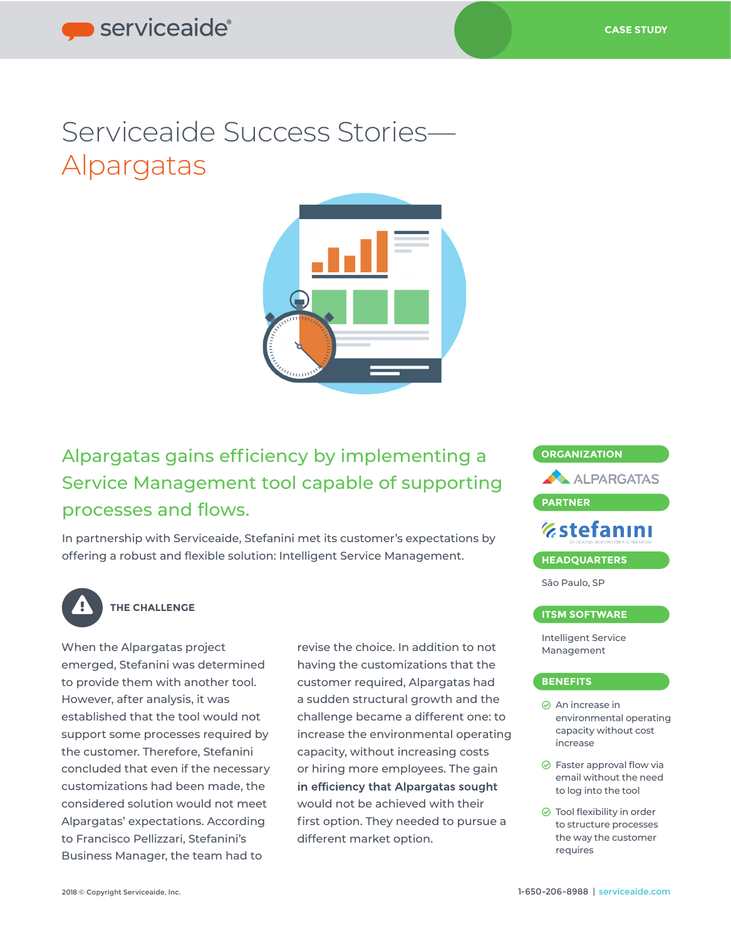# Serviceaide Success Stories— Alpargatas



Alpargatas gains efficiency by implementing a Service Management tool capable of supporting processes and flows.

In partnership with Serviceaide, Stefanini met its customer's expectations by offering a robust and flexible solution: Intelligent Service Management.



## **THE CHALLENGE**

When the Alpargatas project emerged, Stefanini was determined to provide them with another tool. However, after analysis, it was established that the tool would not support some processes required by the customer. Therefore, Stefanini concluded that even if the necessary customizations had been made, the considered solution would not meet Alpargatas' expectations. According to Francisco Pellizzari, Stefanini's Business Manager, the team had to

revise the choice. In addition to not having the customizations that the customer required, Alpargatas had a sudden structural growth and the challenge became a different one: to increase the environmental operating capacity, without increasing costs or hiring more employees. The gain in efficiency that Alpargatas sought would not be achieved with their first option. They needed to pursue a different market option.



## **ITSM SOFTWARE**

Intelligent Service Management

## **BENEFITS**

- An increase in environmental operating capacity without cost increase
- $\odot$  Faster approval flow via email without the need to log into the tool
- $\odot$  Tool flexibility in order to structure processes the way the customer requires